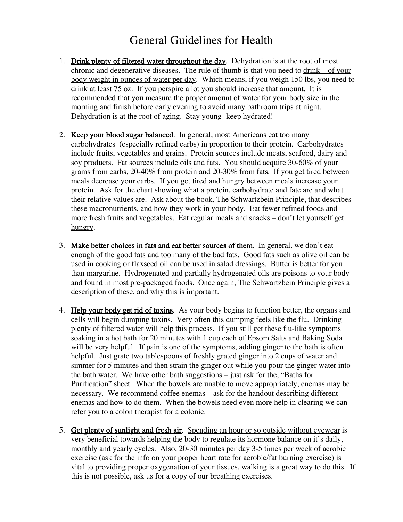## General Guidelines for Health

- 1. Drink plenty of filtered water throughout the day. Dehydration is at the root of most chronic and degenerative diseases. The rule of thumb is that you need to drink \_ of your body weight in ounces of water per day. Which means, if you weigh 150 lbs, you need to drink at least 75 oz. If you perspire a lot you should increase that amount. It is recommended that you measure the proper amount of water for your body size in the morning and finish before early evening to avoid many bathroom trips at night. Dehydration is at the root of aging. Stay young-keep hydrated!
- 2. Keep your blood sugar balanced. In general, most Americans eat too many carbohydrates (especially refined carbs) in proportion to their protein. Carbohydrates include fruits, vegetables and grains. Protein sources include meats, seafood, dairy and soy products. Fat sources include oils and fats. You should acquire 30-60% of your grams from carbs, 20-40% from protein and 20-30% from fats. If you get tired between meals decrease your carbs. If you get tired and hungry between meals increase your protein. Ask for the chart showing what a protein, carbohydrate and fate are and what their relative values are. Ask about the book, The Schwartzbein Principle, that describes these macronutrients, and how they work in your body. Eat fewer refined foods and more fresh fruits and vegetables. Eat regular meals and snacks – don't let yourself get hungry.
- 3. Make better choices in fats and eat better sources of them. In general, we don't eat enough of the good fats and too many of the bad fats. Good fats such as olive oil can be used in cooking or flaxseed oil can be used in salad dressings. Butter is better for you than margarine. Hydrogenated and partially hydrogenated oils are poisons to your body and found in most pre-packaged foods. Once again, The Schwartzbein Principle gives a description of these, and why this is important.
- 4. Help your body get rid of toxins. As your body begins to function better, the organs and cells will begin dumping toxins. Very often this dumping feels like the flu. Drinking plenty of filtered water will help this process. If you still get these flu-like symptoms soaking in a hot bath for 20 minutes with 1 cup each of Epsom Salts and Baking Soda will be very helpful. If pain is one of the symptoms, adding ginger to the bath is often helpful. Just grate two tablespoons of freshly grated ginger into 2 cups of water and simmer for 5 minutes and then strain the ginger out while you pour the ginger water into the bath water. We have other bath suggestions – just ask for the, "Baths for Purification" sheet. When the bowels are unable to move appropriately, enemas may be necessary. We recommend coffee enemas – ask for the handout describing different enemas and how to do them. When the bowels need even more help in clearing we can refer you to a colon therapist for a colonic.
- 5. Get plenty of sunlight and fresh air. Spending an hour or so outside without eyewear is very beneficial towards helping the body to regulate its hormone balance on it's daily, monthly and yearly cycles. Also, 20-30 minutes per day 3-5 times per week of aerobic exercise (ask for the info on your proper heart rate for aerobic/fat burning exercise) is vital to providing proper oxygenation of your tissues, walking is a great way to do this. If this is not possible, ask us for a copy of our breathing exercises.